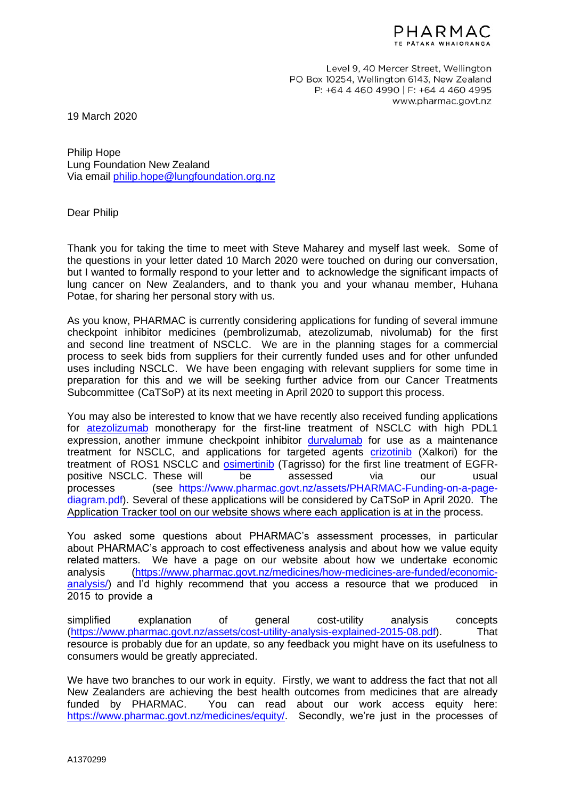

Level 9, 40 Mercer Street, Wellington PO Box 10254, Wellington 6143, New Zealand P: +64 4 460 4990 | F: +64 4 460 4995 www.pharmac.govt.nz

19 March 2020

Philip Hope Lung Foundation New Zealand Via email [philip.hope@lungfoundation.org.nz](mailto:philip.hope@lungfoundation.org.nz)

Dear Philip

Thank you for taking the time to meet with Steve Maharey and myself last week. Some of the questions in your letter dated 10 March 2020 were touched on during our conversation, but I wanted to formally respond to your letter and to acknowledge the significant impacts of lung cancer on New Zealanders, and to thank you and your whanau member, Huhana Potae, for sharing her personal story with us.

As you know, PHARMAC is currently considering applications for funding of several immune checkpoint inhibitor medicines (pembrolizumab, atezolizumab, nivolumab) for the first and second line treatment of NSCLC. We are in the planning stages for a commercial process to seek bids from suppliers for their currently funded uses and for other unfunded uses including NSCLC. We have been engaging with relevant suppliers for some time in preparation for this and we will be seeking further advice from our Cancer Treatments Subcommittee (CaTSoP) at its next meeting in April 2020 to support this process.

You may also be interested to know that we have recently also received funding applications for [atezolizumab](https://connect.pharmac.govt.nz/apptracker/s/global-search/Atezolizumab) monotherapy for the first-line treatment of NSCLC with high PDL1 expression, another immune checkpoint inhibitor [durvalumab](https://connect.pharmac.govt.nz/apptracker/s/application-public/a0R2P000000MNnn) for use as a maintenance treatment for NSCLC, and applications for targeted agents [crizotinib](https://connect.pharmac.govt.nz/apptracker/s/global-search/Crizotinib) (Xalkori) for the treatment of ROS1 NSCLC and [osimertinib](https://connect.pharmac.govt.nz/apptracker/s/global-search/Osimertinib) (Tagrisso) for the first line treatment of EGFRpositive NSCLC. These will be assessed via our usual processes (see https://www.pharmac.govt.nz/assets/PHARMAC-Funding-on-a-pagediagram.pdf). Several of these applications will be considered by CaTSoP in April 2020. The [Application Tracker tool on our website shows where each application is at in the](https://www.pharmac.govt.nz/assets/PHARMAC-Funding-on-a-page-diagram.pdf) process.

You asked some questions about PHARMAC's assessment processes, in particular about PHARMAC's approach to cost effectiveness analysis and about how we value equity related matters. We have a page on our website about how we undertake economic [analysis \(https://www.pharmac.govt.nz/medicines/how-medicines-are-funded/economic](https://www.pharmac.govt.nz/medicines/how-medicines-are-funded/economic-analysis/)analysis/) and I'd highly recommend that you access a resource that we produced in 2015 to provide a

simplified explanation of general cost-utility analysis concepts [\(https://www.pharmac.govt.nz/assets/cost-utility-analysis-explained-2015-08.pdf\)](https://www.pharmac.govt.nz/assets/cost-utility-analysis-explained-2015-08.pdf). That resource is probably due for an update, so any feedback you might have on its usefulness to consumers would be greatly appreciated.

We have two branches to our work in equity. Firstly, we want to address the fact that not all New Zealanders are achieving the best health outcomes from medicines that are already funded by PHARMAC. You can read about our work access equity here: [https://www.pharmac.govt.nz/medicines/equity/.](https://www.pharmac.govt.nz/medicines/equity/) Secondly, we're just in the processes of